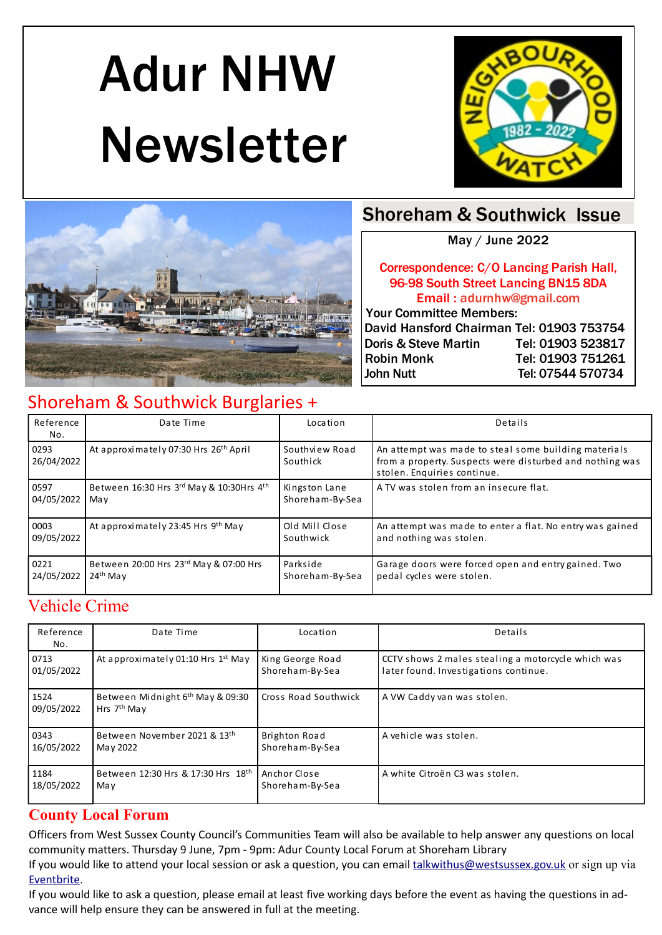# Adur NHW Newsletter





## Shoreham & Southwick Issue

May / June 2022

#### Correspondence: C/O Lancing Parish Hall, 96-98 South Street Lancing BN15 8DA Email : adurnhw@gmail.com

 Your Committee Members: David Hansford Chairman Tel: 01903 753754 Doris & Steve Martin Tel: 01903 523817 Robin Monk Tel: 01903 751261 John Nutt Tel: 07544 570734

## Shoreham & Southwick Burglaries +

| Reference<br>No.   | Date Time                                         | Location                   | Details                                                                                                                                         |
|--------------------|---------------------------------------------------|----------------------------|-------------------------------------------------------------------------------------------------------------------------------------------------|
| 0293<br>26/04/2022 | At approximately 07:30 Hrs 26 <sup>th</sup> April | Southview Road<br>Southick | An attempt was made to steal some building materials<br>from a property. Suspects were disturbed and nothing was<br>stolen. Enquiries continue. |
| 0597               | Between 16:30 Hrs 3rd May & 10:30Hrs 4th          | Kingston Lane              | A TV was stolen from an insecure flat.                                                                                                          |
| 04/05/2022         | May                                               | Shoreham-By-Sea            |                                                                                                                                                 |
| 0003               | At approximately 23:45 Hrs 9th May                | Old Mill Close             | An attempt was made to enter a flat. No entry was gained                                                                                        |
| 09/05/2022         |                                                   | Southwick                  | and nothing was stolen.                                                                                                                         |
| 0221               | Between 20:00 Hrs 23rd May & 07:00 Hrs            | Parkside                   | Garage doors were forced open and entry gained. Two                                                                                             |
| 24/05/2022         | $24th$ May                                        | Shoreham-By-Sea            | pedal cycles were stolen.                                                                                                                       |

## Vehicle Crime

| Reference<br>No.   | Date Time                                                     | Location             | Details                                            |
|--------------------|---------------------------------------------------------------|----------------------|----------------------------------------------------|
| 0713               | At approximately 01:10 Hrs 1 <sup>st</sup> May                | King George Road     | CCTV shows 2 males stealing a motorcycle which was |
| 01/05/2022         |                                                               | Shoreham-By-Sea      | later found. Investigations continue.              |
| 1524<br>09/05/2022 | Between Midnight 6 <sup>th</sup> May & 09:30<br>Hrs $7th$ May | Cross Road Southwick | A VW Caddy van was stolen.                         |
| 0343               | Between November 2021 & 13th                                  | Brighton Road        | A vehicle was stolen.                              |
| 16/05/2022         | May 2022                                                      | Shoreham-By-Sea      |                                                    |
| 1184               | Between 12:30 Hrs & 17:30 Hrs 18th                            | Anchor Close         | A white Citroën C3 was stolen.                     |
| 18/05/2022         | May                                                           | Shoreham-By-Sea      |                                                    |

#### **County Local Forum**

Officers from West Sussex County Council's Communities Team will also be available to help answer any questions on local community matters. Thursday 9 June, 7pm - 9pm: Adur County Local Forum at Shoreham Library

If you would like to attend your local session or ask a question, you can email talkwithus@westsussex.gov.uk or sign up via Eventbrite.

If you would like to ask a question, please email at least five working days before the event as having the questions in advance will help ensure they can be answered in full at the meeting.